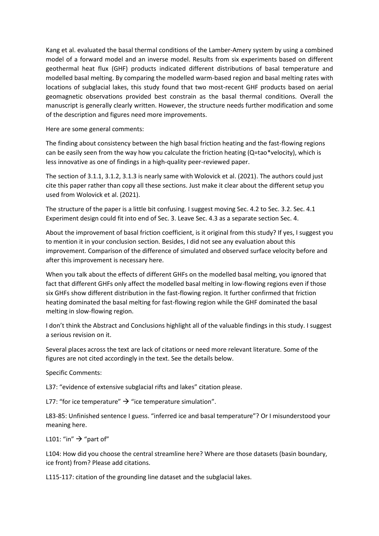Kang et al. evaluated the basal thermal conditions of the Lamber-Amery system by using a combined model of a forward model and an inverse model. Results from six experiments based on different geothermal heat flux (GHF) products indicated different distributions of basal temperature and modelled basal melting. By comparing the modelled warm-based region and basal melting rates with locations of subglacial lakes, this study found that two most-recent GHF products based on aerial geomagnetic observations provided best constrain as the basal thermal conditions. Overall the manuscript is generally clearly written. However, the structure needs further modification and some of the description and figures need more improvements.

Here are some general comments:

The finding about consistency between the high basal friction heating and the fast-flowing regions can be easily seen from the way how you calculate the friction heating  $(Q=tao*velocity)$ , which is less innovative as one of findings in a high-quality peer-reviewed paper.

The section of 3.1.1, 3.1.2, 3.1.3 is nearly same with Wolovick et al. (2021). The authors could just cite this paper rather than copy all these sections. Just make it clear about the different setup you used from Wolovick et al. (2021).

The structure of the paper is a little bit confusing. I suggest moving Sec. 4.2 to Sec. 3.2. Sec. 4.1 Experiment design could fit into end of Sec. 3. Leave Sec. 4.3 as a separate section Sec. 4.

About the improvement of basal friction coefficient, is it original from this study? If yes, I suggest you to mention it in your conclusion section. Besides, I did not see any evaluation about this improvement. Comparison of the difference of simulated and observed surface velocity before and after this improvement is necessary here.

When you talk about the effects of different GHFs on the modelled basal melting, you ignored that fact that different GHFs only affect the modelled basal melting in low-flowing regions even if those six GHFs show different distribution in the fast-flowing region. It further confirmed that friction heating dominated the basal melting for fast-flowing region while the GHF dominated the basal melting in slow-flowing region.

I don't think the Abstract and Conclusions highlight all of the valuable findings in this study. I suggest a serious revision on it.

Several places across the text are lack of citations or need more relevant literature. Some of the figures are not cited accordingly in the text. See the details below.

Specific Comments:

L37: "evidence of extensive subglacial rifts and lakes" citation please.

L77: "for ice temperature"  $\rightarrow$  "ice temperature simulation".

L83-85: Unfinished sentence I guess. "inferred ice and basal temperature"? Or I misunderstood your meaning here.

L101: "in"  $\rightarrow$  "part of"

L104: How did you choose the central streamline here? Where are those datasets (basin boundary, ice front) from? Please add citations.

L115-117: citation of the grounding line dataset and the subglacial lakes.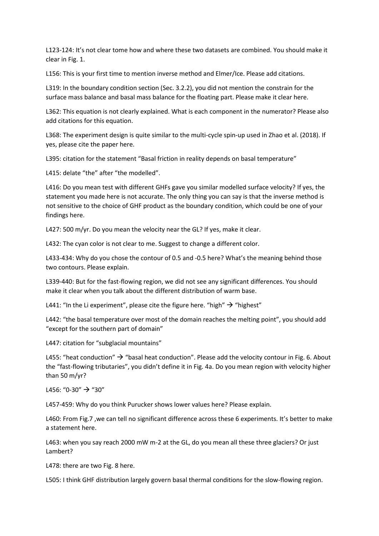L123-124: It's not clear tome how and where these two datasets are combined. You should make it clear in Fig. 1.

L156: This is your first time to mention inverse method and Elmer/Ice. Please add citations.

L319: In the boundary condition section (Sec. 3.2.2), you did not mention the constrain for the surface mass balance and basal mass balance for the floating part. Please make it clear here.

L362: This equation is not clearly explained. What is each component in the numerator? Please also add citations for this equation.

L368: The experiment design is quite similar to the multi-cycle spin-up used in Zhao et al. (2018). If yes, please cite the paper here.

L395: citation for the statement "Basal friction in reality depends on basal temperature"

L415: delate "the" after "the modelled".

L416: Do you mean test with different GHFs gave you similar modelled surface velocity? If yes, the statement you made here is not accurate. The only thing you can say is that the inverse method is not sensitive to the choice of GHF product as the boundary condition, which could be one of your findings here.

L427: 500 m/yr. Do you mean the velocity near the GL? If yes, make it clear.

L432: The cyan color is not clear to me. Suggest to change a different color.

L433-434: Why do you chose the contour of 0.5 and -0.5 here? What's the meaning behind those two contours. Please explain.

L339-440: But for the fast-flowing region, we did not see any significant differences. You should make it clear when you talk about the different distribution of warm base.

L441: "In the Li experiment", please cite the figure here. "high"  $\rightarrow$  "highest"

L442: "the basal temperature over most of the domain reaches the melting point", you should add "except for the southern part of domain"

L447: citation for "subglacial mountains"

L455: "heat conduction"  $\rightarrow$  "basal heat conduction". Please add the velocity contour in Fig. 6. About the "fast-flowing tributaries", you didn't define it in Fig. 4a. Do you mean region with velocity higher than 50 m/yr?

L456: "0-30"  $\rightarrow$  "30"

L457-459: Why do you think Purucker shows lower values here? Please explain.

L460: From Fig.7 ,we can tell no significant difference across these 6 experiments. It's better to make a statement here.

L463: when you say reach 2000 mW m-2 at the GL, do you mean all these three glaciers? Or just Lambert?

L478: there are two Fig. 8 here.

L505: I think GHF distribution largely govern basal thermal conditions for the slow-flowing region.